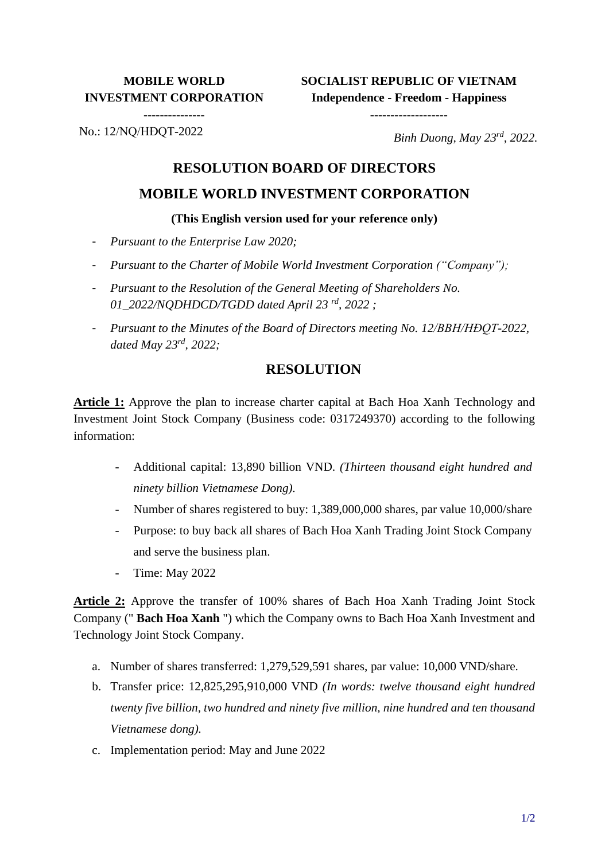# **MOBILE WORLD INVESTMENT CORPORATION**

---------------

**SOCIALIST REPUBLIC OF VIETNAM Independence - Freedom - Happiness**

-------------------

No.: 12/NQ/HĐQT-2022

*Binh Duong, May 23rd, 2022.*

# **RESOLUTION BOARD OF DIRECTORS**

### **MOBILE WORLD INVESTMENT CORPORATION**

#### **(This English version used for your reference only)**

- *Pursuant to the Enterprise Law 2020;*
- *Pursuant to the Charter of Mobile World Investment Corporation ("Company");*
- *Pursuant to the Resolution of the General Meeting of Shareholders No. 01\_2022/NQDHDCD/TGDD dated April 23 rd, 2022 ;*
- *Pursuant to the Minutes of the Board of Directors meeting No. 12/BBH/HĐQT-2022, dated May 23rd , 2022;*

### **RESOLUTION**

**Article 1:** Approve the plan to increase charter capital at Bach Hoa Xanh Technology and Investment Joint Stock Company (Business code: 0317249370) according to the following information:

- Additional capital: 13,890 billion VND. *(Thirteen thousand eight hundred and ninety billion Vietnamese Dong).*
- Number of shares registered to buy: 1,389,000,000 shares, par value 10,000/share
- Purpose: to buy back all shares of Bach Hoa Xanh Trading Joint Stock Company and serve the business plan.
- Time: May 2022

**Article 2:** Approve the transfer of 100% shares of Bach Hoa Xanh Trading Joint Stock Company (" **Bach Hoa Xanh** ") which the Company owns to Bach Hoa Xanh Investment and Technology Joint Stock Company.

- a. Number of shares transferred: 1,279,529,591 shares, par value: 10,000 VND/share.
- b. Transfer price: 12,825,295,910,000 VND *(In words: twelve thousand eight hundred twenty five billion, two hundred and ninety five million, nine hundred and ten thousand Vietnamese dong).*
- c. Implementation period: May and June 2022